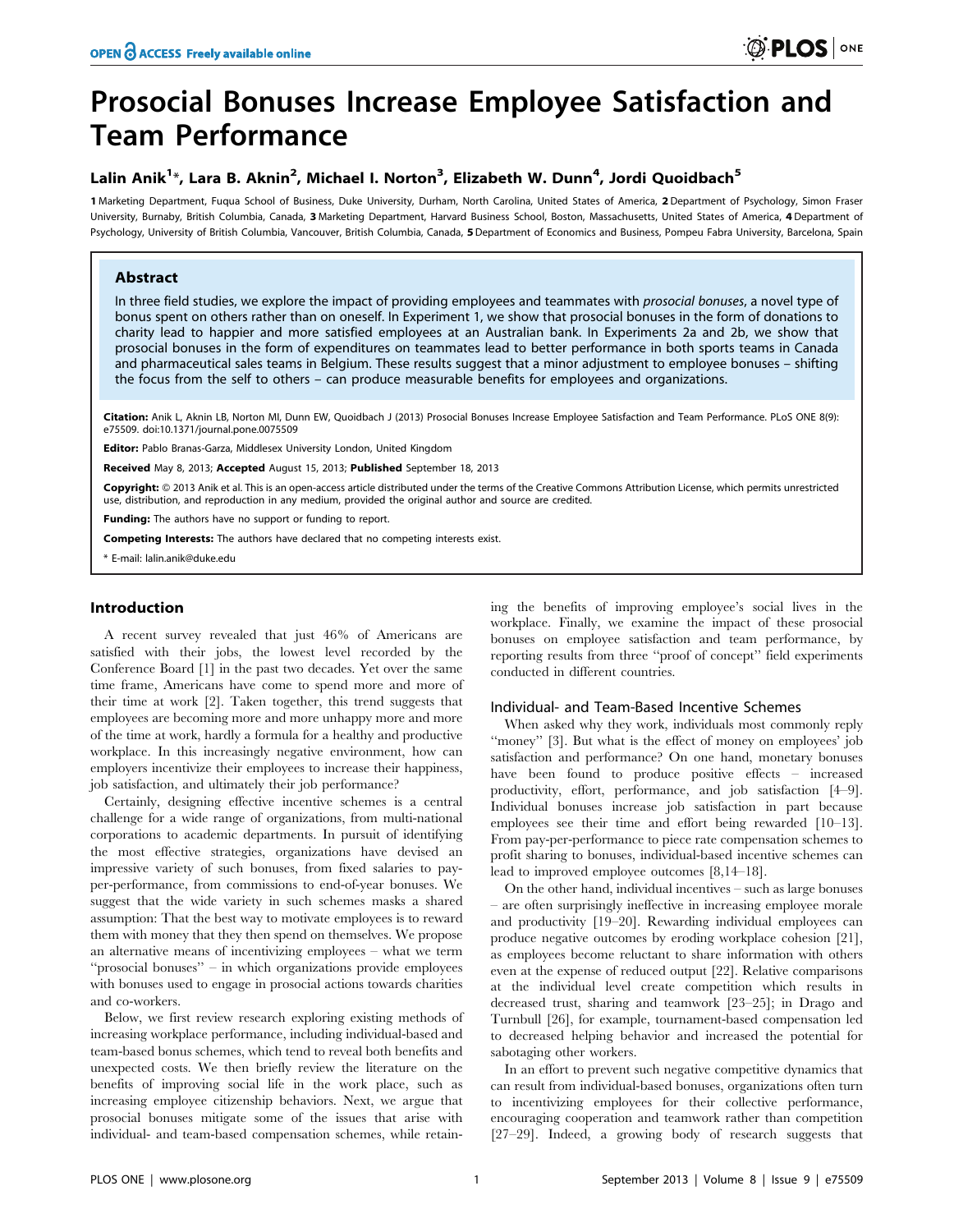# Prosocial Bonuses Increase Employee Satisfaction and Team Performance

## Lalin Anik<sup>1</sup>\*, Lara B. Aknin<sup>2</sup>, Michael I. Norton<sup>3</sup>, Elizabeth W. Dunn<sup>4</sup>, Jordi Quoidbach<sup>5</sup>

1 Marketing Department, Fuqua School of Business, Duke University, Durham, North Carolina, United States of America, 2 Department of Psychology, Simon Fraser University, Burnaby, British Columbia, Canada, 3 Marketing Department, Harvard Business School, Boston, Massachusetts, United States of America, 4 Department of Psychology, University of British Columbia, Vancouver, British Columbia, Canada, 5 Department of Economics and Business, Pompeu Fabra University, Barcelona, Spain

## Abstract

In three field studies, we explore the impact of providing employees and teammates with prosocial bonuses, a novel type of bonus spent on others rather than on oneself. In Experiment 1, we show that prosocial bonuses in the form of donations to charity lead to happier and more satisfied employees at an Australian bank. In Experiments 2a and 2b, we show that prosocial bonuses in the form of expenditures on teammates lead to better performance in both sports teams in Canada and pharmaceutical sales teams in Belgium. These results suggest that a minor adjustment to employee bonuses – shifting the focus from the self to others – can produce measurable benefits for employees and organizations.

Citation: Anik L, Aknin LB, Norton MI, Dunn EW, Quoidbach J (2013) Prosocial Bonuses Increase Employee Satisfaction and Team Performance. PLoS ONE 8(9): e75509. doi:10.1371/journal.pone.0075509

Editor: Pablo Branas-Garza, Middlesex University London, United Kingdom

Received May 8, 2013; Accepted August 15, 2013; Published September 18, 2013

**Copyright:** © 2013 Anik et al. This is an open-access article distributed under the terms of the Creative Commons Attribution License, which permits unrestricted use, distribution, and reproduction in any medium, provided the original author and source are credited.

Funding: The authors have no support or funding to report.

Competing Interests: The authors have declared that no competing interests exist.

\* E-mail: lalin.anik@duke.edu

## Introduction

A recent survey revealed that just 46% of Americans are satisfied with their jobs, the lowest level recorded by the Conference Board [1] in the past two decades. Yet over the same time frame, Americans have come to spend more and more of their time at work [2]. Taken together, this trend suggests that employees are becoming more and more unhappy more and more of the time at work, hardly a formula for a healthy and productive workplace. In this increasingly negative environment, how can employers incentivize their employees to increase their happiness, job satisfaction, and ultimately their job performance?

Certainly, designing effective incentive schemes is a central challenge for a wide range of organizations, from multi-national corporations to academic departments. In pursuit of identifying the most effective strategies, organizations have devised an impressive variety of such bonuses, from fixed salaries to payper-performance, from commissions to end-of-year bonuses. We suggest that the wide variety in such schemes masks a shared assumption: That the best way to motivate employees is to reward them with money that they then spend on themselves. We propose an alternative means of incentivizing employees – what we term ''prosocial bonuses'' – in which organizations provide employees with bonuses used to engage in prosocial actions towards charities and co-workers.

Below, we first review research exploring existing methods of increasing workplace performance, including individual-based and team-based bonus schemes, which tend to reveal both benefits and unexpected costs. We then briefly review the literature on the benefits of improving social life in the work place, such as increasing employee citizenship behaviors. Next, we argue that prosocial bonuses mitigate some of the issues that arise with individual- and team-based compensation schemes, while retaining the benefits of improving employee's social lives in the workplace. Finally, we examine the impact of these prosocial bonuses on employee satisfaction and team performance, by reporting results from three ''proof of concept'' field experiments conducted in different countries.

## Individual- and Team-Based Incentive Schemes

When asked why they work, individuals most commonly reply "money" [3]. But what is the effect of money on employees' job satisfaction and performance? On one hand, monetary bonuses have been found to produce positive effects – increased productivity, effort, performance, and job satisfaction [4–9]. Individual bonuses increase job satisfaction in part because employees see their time and effort being rewarded [10–13]. From pay-per-performance to piece rate compensation schemes to profit sharing to bonuses, individual-based incentive schemes can lead to improved employee outcomes [8,14–18].

On the other hand, individual incentives – such as large bonuses – are often surprisingly ineffective in increasing employee morale and productivity [19–20]. Rewarding individual employees can produce negative outcomes by eroding workplace cohesion [21], as employees become reluctant to share information with others even at the expense of reduced output [22]. Relative comparisons at the individual level create competition which results in decreased trust, sharing and teamwork [23–25]; in Drago and Turnbull [26], for example, tournament-based compensation led to decreased helping behavior and increased the potential for sabotaging other workers.

In an effort to prevent such negative competitive dynamics that can result from individual-based bonuses, organizations often turn to incentivizing employees for their collective performance, encouraging cooperation and teamwork rather than competition [27–29]. Indeed, a growing body of research suggests that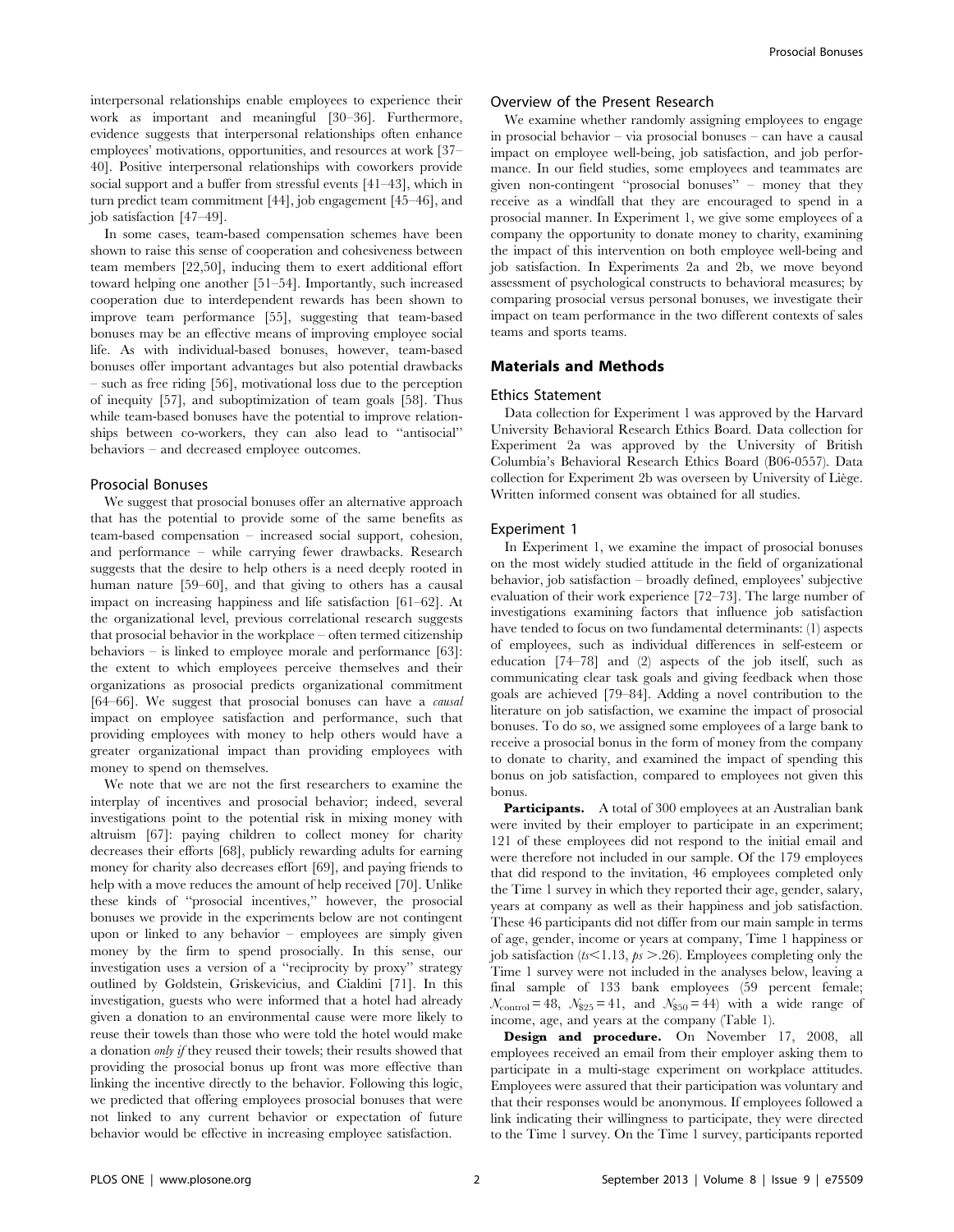interpersonal relationships enable employees to experience their work as important and meaningful [30–36]. Furthermore, evidence suggests that interpersonal relationships often enhance employees' motivations, opportunities, and resources at work [37– 40]. Positive interpersonal relationships with coworkers provide social support and a buffer from stressful events [41–43], which in turn predict team commitment [44], job engagement [45–46], and job satisfaction [47–49].

In some cases, team-based compensation schemes have been shown to raise this sense of cooperation and cohesiveness between team members [22,50], inducing them to exert additional effort toward helping one another [51–54]. Importantly, such increased cooperation due to interdependent rewards has been shown to improve team performance [55], suggesting that team-based bonuses may be an effective means of improving employee social life. As with individual-based bonuses, however, team-based bonuses offer important advantages but also potential drawbacks – such as free riding [56], motivational loss due to the perception of inequity [57], and suboptimization of team goals [58]. Thus while team-based bonuses have the potential to improve relationships between co-workers, they can also lead to ''antisocial'' behaviors – and decreased employee outcomes.

## Prosocial Bonuses

We suggest that prosocial bonuses offer an alternative approach that has the potential to provide some of the same benefits as team-based compensation – increased social support, cohesion, and performance – while carrying fewer drawbacks. Research suggests that the desire to help others is a need deeply rooted in human nature [59–60], and that giving to others has a causal impact on increasing happiness and life satisfaction [61–62]. At the organizational level, previous correlational research suggests that prosocial behavior in the workplace – often termed citizenship behaviors – is linked to employee morale and performance [63]: the extent to which employees perceive themselves and their organizations as prosocial predicts organizational commitment [64–66]. We suggest that prosocial bonuses can have a *causal* impact on employee satisfaction and performance, such that providing employees with money to help others would have a greater organizational impact than providing employees with money to spend on themselves.

We note that we are not the first researchers to examine the interplay of incentives and prosocial behavior; indeed, several investigations point to the potential risk in mixing money with altruism [67]: paying children to collect money for charity decreases their efforts [68], publicly rewarding adults for earning money for charity also decreases effort [69], and paying friends to help with a move reduces the amount of help received [70]. Unlike these kinds of ''prosocial incentives,'' however, the prosocial bonuses we provide in the experiments below are not contingent upon or linked to any behavior – employees are simply given money by the firm to spend prosocially. In this sense, our investigation uses a version of a ''reciprocity by proxy'' strategy outlined by Goldstein, Griskevicius, and Cialdini [71]. In this investigation, guests who were informed that a hotel had already given a donation to an environmental cause were more likely to reuse their towels than those who were told the hotel would make a donation only if they reused their towels; their results showed that providing the prosocial bonus up front was more effective than linking the incentive directly to the behavior. Following this logic, we predicted that offering employees prosocial bonuses that were not linked to any current behavior or expectation of future behavior would be effective in increasing employee satisfaction.

## Overview of the Present Research

We examine whether randomly assigning employees to engage in prosocial behavior – via prosocial bonuses – can have a causal impact on employee well-being, job satisfaction, and job performance. In our field studies, some employees and teammates are given non-contingent ''prosocial bonuses'' – money that they receive as a windfall that they are encouraged to spend in a prosocial manner. In Experiment 1, we give some employees of a company the opportunity to donate money to charity, examining the impact of this intervention on both employee well-being and job satisfaction. In Experiments 2a and 2b, we move beyond assessment of psychological constructs to behavioral measures; by comparing prosocial versus personal bonuses, we investigate their impact on team performance in the two different contexts of sales teams and sports teams.

## Materials and Methods

#### Ethics Statement

Data collection for Experiment 1 was approved by the Harvard University Behavioral Research Ethics Board. Data collection for Experiment 2a was approved by the University of British Columbia's Behavioral Research Ethics Board (B06-0557). Data collection for Experiment 2b was overseen by University of Liège. Written informed consent was obtained for all studies.

#### Experiment 1

In Experiment 1, we examine the impact of prosocial bonuses on the most widely studied attitude in the field of organizational behavior, job satisfaction – broadly defined, employees' subjective evaluation of their work experience [72–73]. The large number of investigations examining factors that influence job satisfaction have tended to focus on two fundamental determinants: (1) aspects of employees, such as individual differences in self-esteem or education [74–78] and (2) aspects of the job itself, such as communicating clear task goals and giving feedback when those goals are achieved [79–84]. Adding a novel contribution to the literature on job satisfaction, we examine the impact of prosocial bonuses. To do so, we assigned some employees of a large bank to receive a prosocial bonus in the form of money from the company to donate to charity, and examined the impact of spending this bonus on job satisfaction, compared to employees not given this bonus.

Participants. A total of 300 employees at an Australian bank were invited by their employer to participate in an experiment; 121 of these employees did not respond to the initial email and were therefore not included in our sample. Of the 179 employees that did respond to the invitation, 46 employees completed only the Time 1 survey in which they reported their age, gender, salary, years at company as well as their happiness and job satisfaction. These 46 participants did not differ from our main sample in terms of age, gender, income or years at company, Time 1 happiness or job satisfaction ( $ts \le 1.13$ ,  $ps > .26$ ). Employees completing only the Time 1 survey were not included in the analyses below, leaving a final sample of 133 bank employees (59 percent female;  $\mathcal{N}_{\text{control}} = 48, \ \mathcal{N}_{325} = 41, \text{ and } \mathcal{N}_{350} = 44$  with a wide range of income, age, and years at the company (Table 1).

Design and procedure. On November 17, 2008, all employees received an email from their employer asking them to participate in a multi-stage experiment on workplace attitudes. Employees were assured that their participation was voluntary and that their responses would be anonymous. If employees followed a link indicating their willingness to participate, they were directed to the Time 1 survey. On the Time 1 survey, participants reported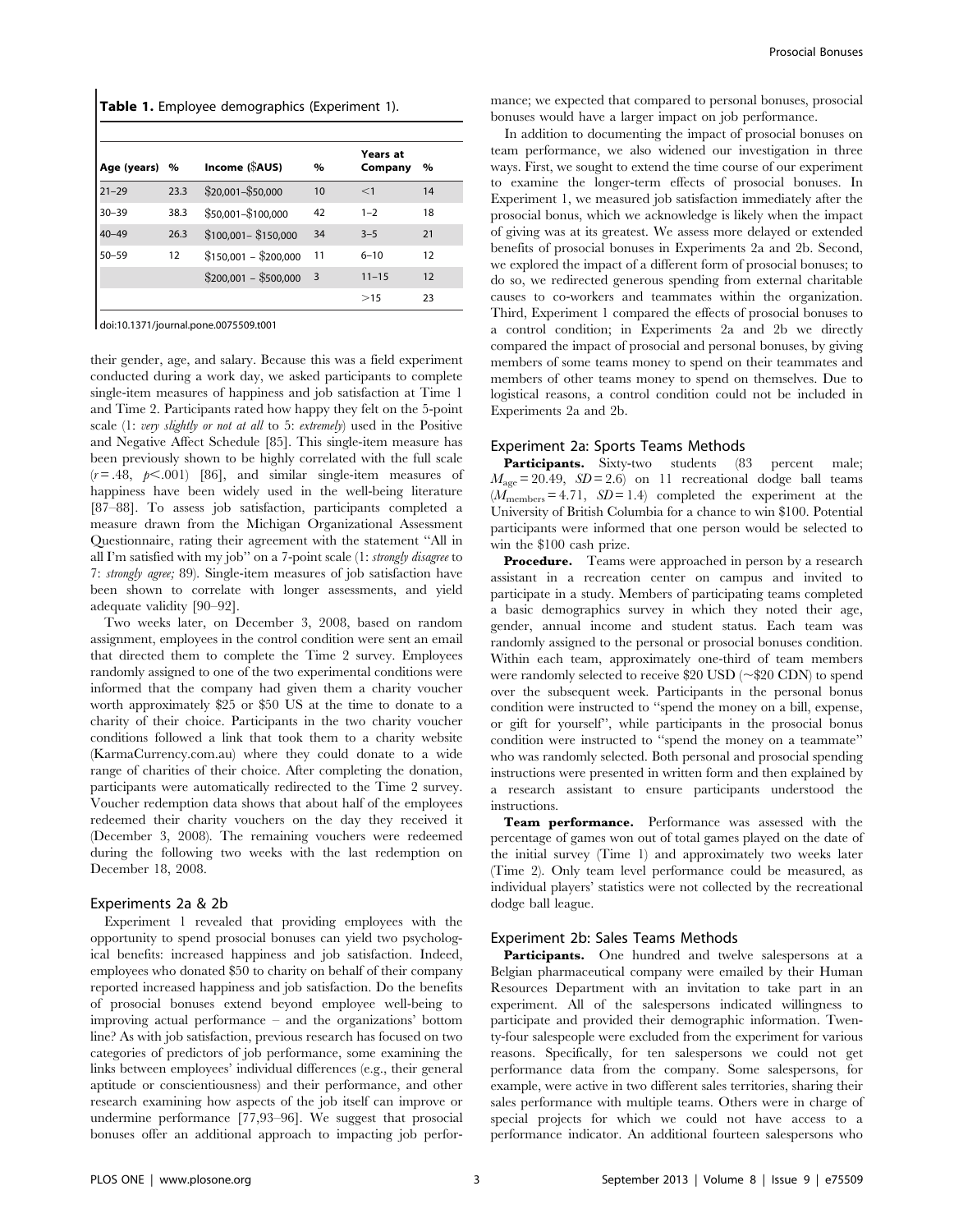Table 1. Employee demographics (Experiment 1).

| Age (years) | $\%$ | Income (SAUS)         | $\%$ | Years at<br>Company | $\%$ |
|-------------|------|-----------------------|------|---------------------|------|
| $21 - 29$   | 23.3 | \$20,001-\$50,000     | 10   | $<$ 1               | 14   |
| $30 - 39$   | 38.3 | \$50,001-\$100,000    | 42   | $1 - 2$             | 18   |
| $40 - 49$   | 26.3 | $$100,001 - $150,000$ | 34   | $3 - 5$             | 21   |
| $50 - 59$   | 12   | $$150,001 - $200,000$ | 11   | $6 - 10$            | 12   |
|             |      | $$200,001 - $500,000$ | 3    | $11 - 15$           | 12   |
|             |      |                       |      | >15                 | 23   |

doi:10.1371/journal.pone.0075509.t001

their gender, age, and salary. Because this was a field experiment conducted during a work day, we asked participants to complete single-item measures of happiness and job satisfaction at Time 1 and Time 2. Participants rated how happy they felt on the 5-point scale (1: very slightly or not at all to 5: extremely) used in the Positive and Negative Affect Schedule [85]. This single-item measure has been previously shown to be highly correlated with the full scale  $(r = .48, p < .001)$  [86], and similar single-item measures of happiness have been widely used in the well-being literature [87–88]. To assess job satisfaction, participants completed a measure drawn from the Michigan Organizational Assessment Questionnaire, rating their agreement with the statement ''All in all I'm satisfied with my job'' on a 7-point scale (1: strongly disagree to 7: strongly agree; 89). Single-item measures of job satisfaction have been shown to correlate with longer assessments, and yield adequate validity [90–92].

Two weeks later, on December 3, 2008, based on random assignment, employees in the control condition were sent an email that directed them to complete the Time 2 survey. Employees randomly assigned to one of the two experimental conditions were informed that the company had given them a charity voucher worth approximately \$25 or \$50 US at the time to donate to a charity of their choice. Participants in the two charity voucher conditions followed a link that took them to a charity website (KarmaCurrency.com.au) where they could donate to a wide range of charities of their choice. After completing the donation, participants were automatically redirected to the Time 2 survey. Voucher redemption data shows that about half of the employees redeemed their charity vouchers on the day they received it (December 3, 2008). The remaining vouchers were redeemed during the following two weeks with the last redemption on December 18, 2008.

#### Experiments 2a & 2b

Experiment 1 revealed that providing employees with the opportunity to spend prosocial bonuses can yield two psychological benefits: increased happiness and job satisfaction. Indeed, employees who donated \$50 to charity on behalf of their company reported increased happiness and job satisfaction. Do the benefits of prosocial bonuses extend beyond employee well-being to improving actual performance – and the organizations' bottom line? As with job satisfaction, previous research has focused on two categories of predictors of job performance, some examining the links between employees' individual differences (e.g., their general aptitude or conscientiousness) and their performance, and other research examining how aspects of the job itself can improve or undermine performance [77,93–96]. We suggest that prosocial bonuses offer an additional approach to impacting job performance; we expected that compared to personal bonuses, prosocial bonuses would have a larger impact on job performance.

In addition to documenting the impact of prosocial bonuses on team performance, we also widened our investigation in three ways. First, we sought to extend the time course of our experiment to examine the longer-term effects of prosocial bonuses. In Experiment 1, we measured job satisfaction immediately after the prosocial bonus, which we acknowledge is likely when the impact of giving was at its greatest. We assess more delayed or extended benefits of prosocial bonuses in Experiments 2a and 2b. Second, we explored the impact of a different form of prosocial bonuses; to do so, we redirected generous spending from external charitable causes to co-workers and teammates within the organization. Third, Experiment 1 compared the effects of prosocial bonuses to a control condition; in Experiments 2a and 2b we directly compared the impact of prosocial and personal bonuses, by giving members of some teams money to spend on their teammates and members of other teams money to spend on themselves. Due to logistical reasons, a control condition could not be included in Experiments 2a and 2b.

## Experiment 2a: Sports Teams Methods

Participants. Sixty-two students (83 percent male;  $M_{\text{age}} = 20.49$ ,  $SD = 2.6$ ) on 11 recreational dodge ball teams  $(M_{\text{members}} = 4.71, SD = 1.4)$  completed the experiment at the University of British Columbia for a chance to win \$100. Potential participants were informed that one person would be selected to win the \$100 cash prize.

Procedure. Teams were approached in person by a research assistant in a recreation center on campus and invited to participate in a study. Members of participating teams completed a basic demographics survey in which they noted their age, gender, annual income and student status. Each team was randomly assigned to the personal or prosocial bonuses condition. Within each team, approximately one-third of team members were randomly selected to receive \$20 USD ( $\sim$ \$20 CDN) to spend over the subsequent week. Participants in the personal bonus condition were instructed to ''spend the money on a bill, expense, or gift for yourself'', while participants in the prosocial bonus condition were instructed to ''spend the money on a teammate'' who was randomly selected. Both personal and prosocial spending instructions were presented in written form and then explained by a research assistant to ensure participants understood the instructions.

Team performance. Performance was assessed with the percentage of games won out of total games played on the date of the initial survey (Time 1) and approximately two weeks later (Time 2). Only team level performance could be measured, as individual players' statistics were not collected by the recreational dodge ball league.

## Experiment 2b: Sales Teams Methods

Participants. One hundred and twelve salespersons at a Belgian pharmaceutical company were emailed by their Human Resources Department with an invitation to take part in an experiment. All of the salespersons indicated willingness to participate and provided their demographic information. Twenty-four salespeople were excluded from the experiment for various reasons. Specifically, for ten salespersons we could not get performance data from the company. Some salespersons, for example, were active in two different sales territories, sharing their sales performance with multiple teams. Others were in charge of special projects for which we could not have access to a performance indicator. An additional fourteen salespersons who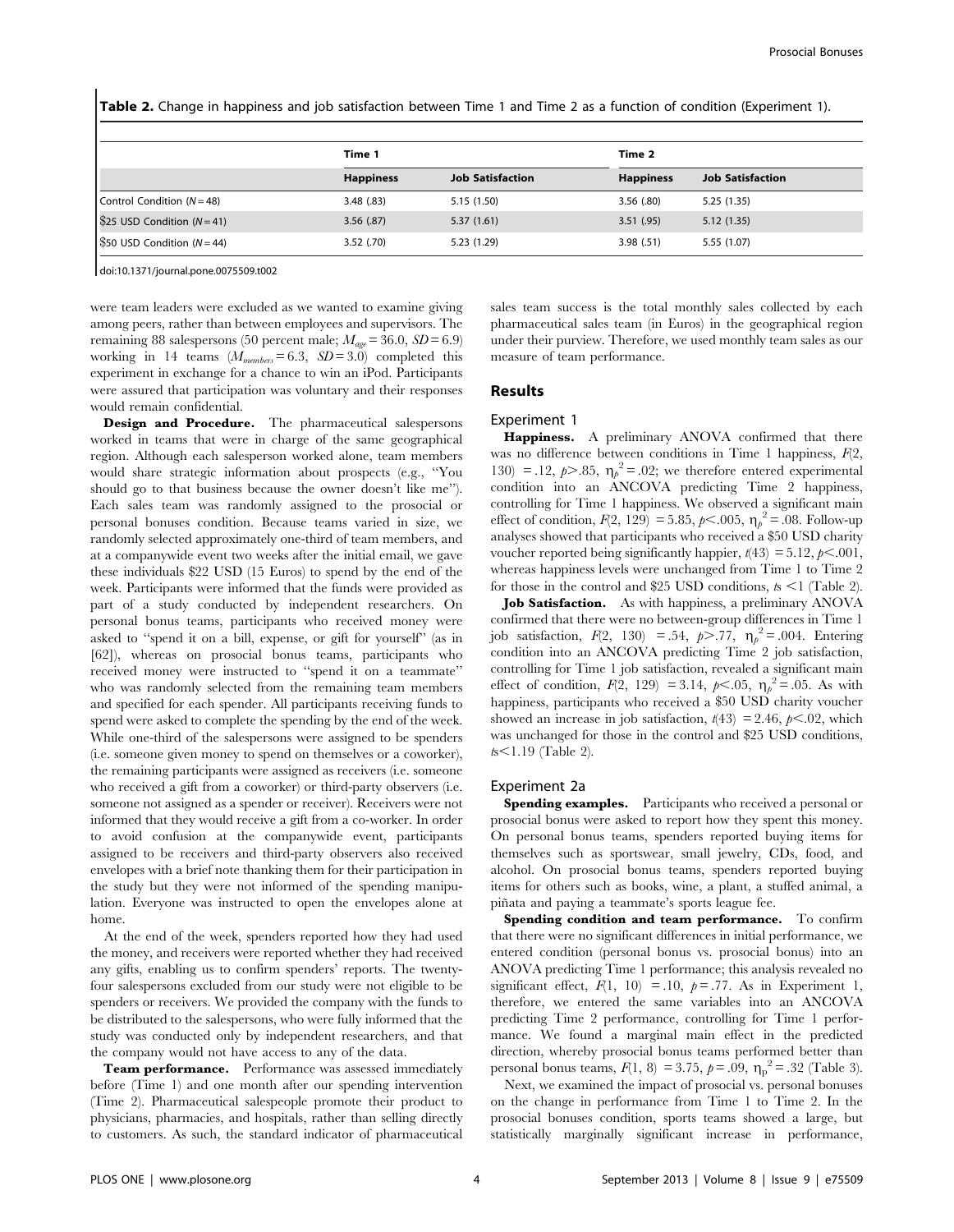Table 2. Change in happiness and job satisfaction between Time 1 and Time 2 as a function of condition (Experiment 1).

|                                                  | Time 1           |                         | Time 2           |                         |
|--------------------------------------------------|------------------|-------------------------|------------------|-------------------------|
|                                                  | <b>Happiness</b> | <b>Job Satisfaction</b> | <b>Happiness</b> | <b>Job Satisfaction</b> |
| Control Condition (N = 48)                       | 3.48(.83)        | 5.15 (1.50)             | 3.56(.80)        | 5.25(1.35)              |
| \$25 USD Condition $(N=41)$                      | 3.56(.87)        | 5.37(1.61)              | 3.51(.95)        | 5.12(1.35)              |
| $\sqrt{\$50 \text{ USD}}$ Condition ( $N = 44$ ) | $3.52$ (.70)     | 5.23 (1.29)             | 3.98(.51)        | 5.55 (1.07)             |

doi:10.1371/journal.pone.0075509.t002

were team leaders were excluded as we wanted to examine giving among peers, rather than between employees and supervisors. The remaining 88 salespersons (50 percent male;  $M_{age} = 36.0$ ,  $SD = 6.9$ ) working in 14 teams  $(M_{members} = 6.3, SD = 3.0)$  completed this experiment in exchange for a chance to win an iPod. Participants were assured that participation was voluntary and their responses would remain confidential.

Design and Procedure. The pharmaceutical salespersons worked in teams that were in charge of the same geographical region. Although each salesperson worked alone, team members would share strategic information about prospects (e.g., ''You should go to that business because the owner doesn't like me''). Each sales team was randomly assigned to the prosocial or personal bonuses condition. Because teams varied in size, we randomly selected approximately one-third of team members, and at a companywide event two weeks after the initial email, we gave these individuals \$22 USD (15 Euros) to spend by the end of the week. Participants were informed that the funds were provided as part of a study conducted by independent researchers. On personal bonus teams, participants who received money were asked to ''spend it on a bill, expense, or gift for yourself'' (as in [62]), whereas on prosocial bonus teams, participants who received money were instructed to ''spend it on a teammate'' who was randomly selected from the remaining team members and specified for each spender. All participants receiving funds to spend were asked to complete the spending by the end of the week. While one-third of the salespersons were assigned to be spenders (i.e. someone given money to spend on themselves or a coworker), the remaining participants were assigned as receivers (i.e. someone who received a gift from a coworker) or third-party observers (i.e. someone not assigned as a spender or receiver). Receivers were not informed that they would receive a gift from a co-worker. In order to avoid confusion at the companywide event, participants assigned to be receivers and third-party observers also received envelopes with a brief note thanking them for their participation in the study but they were not informed of the spending manipulation. Everyone was instructed to open the envelopes alone at home.

At the end of the week, spenders reported how they had used the money, and receivers were reported whether they had received any gifts, enabling us to confirm spenders' reports. The twentyfour salespersons excluded from our study were not eligible to be spenders or receivers. We provided the company with the funds to be distributed to the salespersons, who were fully informed that the study was conducted only by independent researchers, and that the company would not have access to any of the data.

Team performance. Performance was assessed immediately before (Time 1) and one month after our spending intervention (Time 2). Pharmaceutical salespeople promote their product to physicians, pharmacies, and hospitals, rather than selling directly to customers. As such, the standard indicator of pharmaceutical sales team success is the total monthly sales collected by each pharmaceutical sales team (in Euros) in the geographical region under their purview. Therefore, we used monthly team sales as our measure of team performance.

#### Results

#### Experiment 1

Happiness. A preliminary ANOVA confirmed that there was no difference between conditions in Time 1 happiness,  $F(2)$ , 130) = .12,  $p > .85$ ,  $\eta_p^2 = .02$ ; we therefore entered experimental condition into an ANCOVA predicting Time 2 happiness, controlling for Time 1 happiness. We observed a significant main effect of condition,  $F(2, 129) = 5.85$ ,  $p < .005$ ,  $\eta_p^2 = .08$ . Follow-up analyses showed that participants who received a \$50 USD charity voucher reported being significantly happier,  $t(43) = 5.12, p<.001,$ whereas happiness levels were unchanged from Time 1 to Time 2 for those in the control and \$25 USD conditions,  $t_s \leq 1$  (Table 2).

Job Satisfaction. As with happiness, a preliminary ANOVA confirmed that there were no between-group differences in Time 1 job satisfaction,  $F(2, 130) = .54$ ,  $p > .77$ ,  $\eta_p^2 = .004$ . Entering condition into an ANCOVA predicting Time 2 job satisfaction, controlling for Time 1 job satisfaction, revealed a significant main effect of condition,  $F(2, 129) = 3.14$ ,  $p<.05$ ,  $\eta_p^2 = .05$ . As with happiness, participants who received a \$50 USD charity voucher showed an increase in job satisfaction,  $t(43) = 2.46$ ,  $p<.02$ , which was unchanged for those in the control and \$25 USD conditions,  $ts<1.19$  (Table 2).

#### Experiment 2a

Spending examples. Participants who received a personal or prosocial bonus were asked to report how they spent this money. On personal bonus teams, spenders reported buying items for themselves such as sportswear, small jewelry, CDs, food, and alcohol. On prosocial bonus teams, spenders reported buying items for others such as books, wine, a plant, a stuffed animal, a pinata and paying a teammate's sports league fee.

Spending condition and team performance. To confirm that there were no significant differences in initial performance, we entered condition (personal bonus vs. prosocial bonus) into an ANOVA predicting Time 1 performance; this analysis revealed no significant effect,  $F(1, 10) = .10$ ,  $p = .77$ . As in Experiment 1, therefore, we entered the same variables into an ANCOVA predicting Time 2 performance, controlling for Time 1 performance. We found a marginal main effect in the predicted direction, whereby prosocial bonus teams performed better than personal bonus teams,  $F(1, 8) = 3.75$ ,  $p = .09$ ,  $\eta_p^2 = .32$  (Table 3).

Next, we examined the impact of prosocial vs. personal bonuses on the change in performance from Time 1 to Time 2. In the prosocial bonuses condition, sports teams showed a large, but statistically marginally significant increase in performance,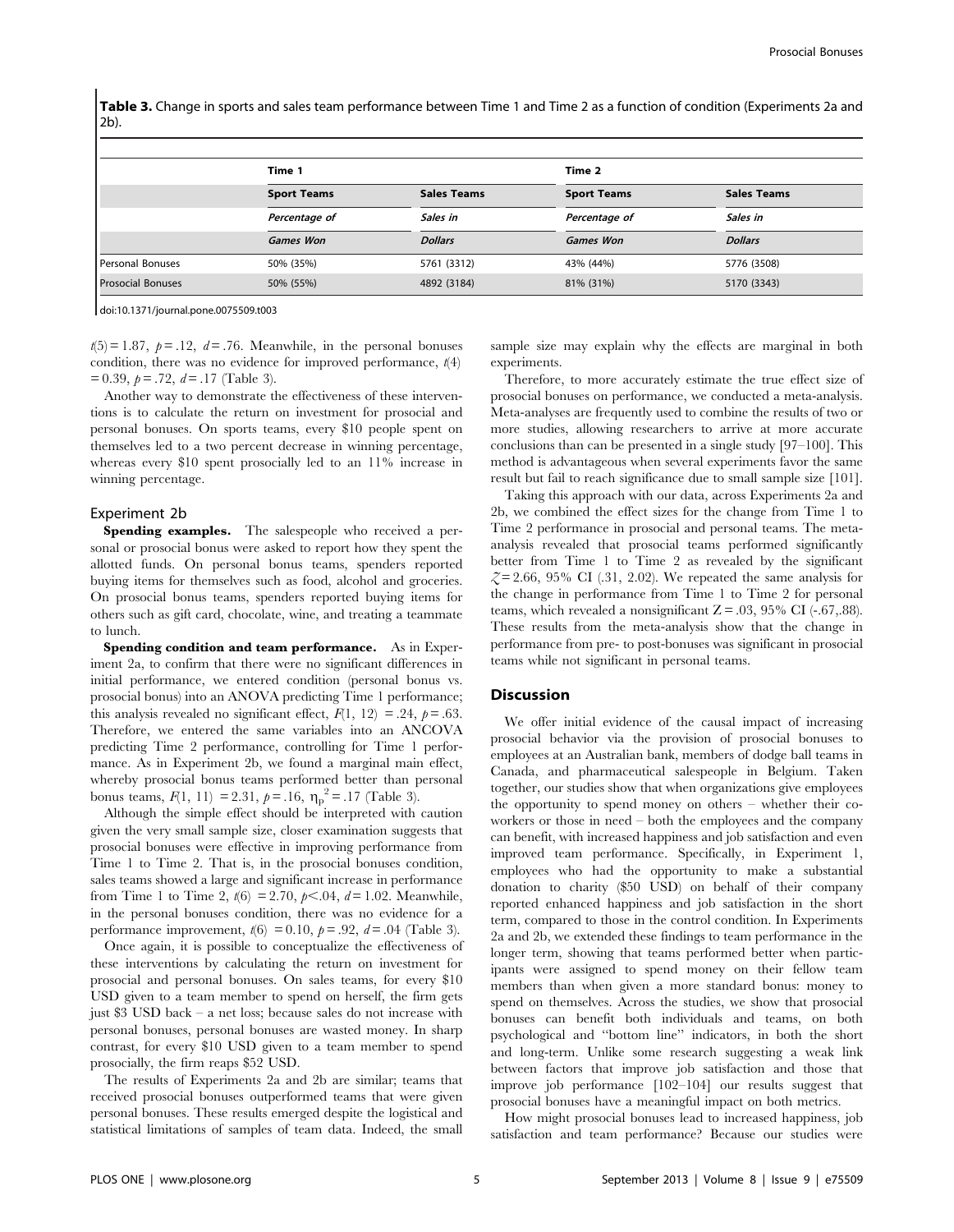Table 3. Change in sports and sales team performance between Time 1 and Time 2 as a function of condition (Experiments 2a and 2b).

|                          | Time 1             |                    |                    | Time 2                         |  |  |
|--------------------------|--------------------|--------------------|--------------------|--------------------------------|--|--|
|                          | <b>Sport Teams</b> | <b>Sales Teams</b> | <b>Sport Teams</b> | <b>Sales Teams</b><br>Sales in |  |  |
|                          | Percentage of      | Sales in           | Percentage of      |                                |  |  |
|                          | <b>Games Won</b>   | <b>Dollars</b>     | <b>Games Won</b>   | <b>Dollars</b>                 |  |  |
| Personal Bonuses         | 50% (35%)          | 5761 (3312)        | 43% (44%)          | 5776 (3508)                    |  |  |
| <b>Prosocial Bonuses</b> | 50% (55%)          | 4892 (3184)        | 81% (31%)          | 5170 (3343)                    |  |  |

doi:10.1371/journal.pone.0075509.t003

 $t(5) = 1.87$ ,  $p = .12$ ,  $d = .76$ . Meanwhile, in the personal bonuses condition, there was no evidence for improved performance,  $t(4)$  $= 0.39, p = .72, d = .17$  (Table 3).

Another way to demonstrate the effectiveness of these interventions is to calculate the return on investment for prosocial and personal bonuses. On sports teams, every \$10 people spent on themselves led to a two percent decrease in winning percentage, whereas every \$10 spent prosocially led to an 11% increase in winning percentage.

#### Experiment 2b

Spending examples. The salespeople who received a personal or prosocial bonus were asked to report how they spent the allotted funds. On personal bonus teams, spenders reported buying items for themselves such as food, alcohol and groceries. On prosocial bonus teams, spenders reported buying items for others such as gift card, chocolate, wine, and treating a teammate to lunch.

Spending condition and team performance. As in Experiment 2a, to confirm that there were no significant differences in initial performance, we entered condition (personal bonus vs. prosocial bonus) into an ANOVA predicting Time 1 performance; this analysis revealed no significant effect,  $F(1, 12) = .24$ ,  $p = .63$ . Therefore, we entered the same variables into an ANCOVA predicting Time 2 performance, controlling for Time 1 performance. As in Experiment 2b, we found a marginal main effect, whereby prosocial bonus teams performed better than personal bonus teams,  $F(1, 11) = 2.31, p = .16, \eta_p^2 = .17$  (Table 3).

Although the simple effect should be interpreted with caution given the very small sample size, closer examination suggests that prosocial bonuses were effective in improving performance from Time 1 to Time 2. That is, in the prosocial bonuses condition, sales teams showed a large and significant increase in performance from Time 1 to Time 2,  $t(6) = 2.70$ ,  $p < .04$ ,  $d = 1.02$ . Meanwhile, in the personal bonuses condition, there was no evidence for a performance improvement,  $t(6) = 0.10$ ,  $p = .92$ ,  $d = .04$  (Table 3).

Once again, it is possible to conceptualize the effectiveness of these interventions by calculating the return on investment for prosocial and personal bonuses. On sales teams, for every \$10 USD given to a team member to spend on herself, the firm gets just \$3 USD back – a net loss; because sales do not increase with personal bonuses, personal bonuses are wasted money. In sharp contrast, for every \$10 USD given to a team member to spend prosocially, the firm reaps \$52 USD.

The results of Experiments 2a and 2b are similar; teams that received prosocial bonuses outperformed teams that were given personal bonuses. These results emerged despite the logistical and statistical limitations of samples of team data. Indeed, the small sample size may explain why the effects are marginal in both experiments.

Therefore, to more accurately estimate the true effect size of prosocial bonuses on performance, we conducted a meta-analysis. Meta-analyses are frequently used to combine the results of two or more studies, allowing researchers to arrive at more accurate conclusions than can be presented in a single study [97–100]. This method is advantageous when several experiments favor the same result but fail to reach significance due to small sample size [101].

Taking this approach with our data, across Experiments 2a and 2b, we combined the effect sizes for the change from Time 1 to Time 2 performance in prosocial and personal teams. The metaanalysis revealed that prosocial teams performed significantly better from Time 1 to Time 2 as revealed by the significant  $\zeta = 2.66$ , 95% CI (.31, 2.02). We repeated the same analysis for the change in performance from Time 1 to Time 2 for personal teams, which revealed a nonsignificant  $Z = .03, 95\%$  CI (-.67,.88). These results from the meta-analysis show that the change in performance from pre- to post-bonuses was significant in prosocial teams while not significant in personal teams.

## Discussion

We offer initial evidence of the causal impact of increasing prosocial behavior via the provision of prosocial bonuses to employees at an Australian bank, members of dodge ball teams in Canada, and pharmaceutical salespeople in Belgium. Taken together, our studies show that when organizations give employees the opportunity to spend money on others – whether their coworkers or those in need – both the employees and the company can benefit, with increased happiness and job satisfaction and even improved team performance. Specifically, in Experiment 1, employees who had the opportunity to make a substantial donation to charity (\$50 USD) on behalf of their company reported enhanced happiness and job satisfaction in the short term, compared to those in the control condition. In Experiments 2a and 2b, we extended these findings to team performance in the longer term, showing that teams performed better when participants were assigned to spend money on their fellow team members than when given a more standard bonus: money to spend on themselves. Across the studies, we show that prosocial bonuses can benefit both individuals and teams, on both psychological and ''bottom line'' indicators, in both the short and long-term. Unlike some research suggesting a weak link between factors that improve job satisfaction and those that improve job performance [102–104] our results suggest that prosocial bonuses have a meaningful impact on both metrics.

How might prosocial bonuses lead to increased happiness, job satisfaction and team performance? Because our studies were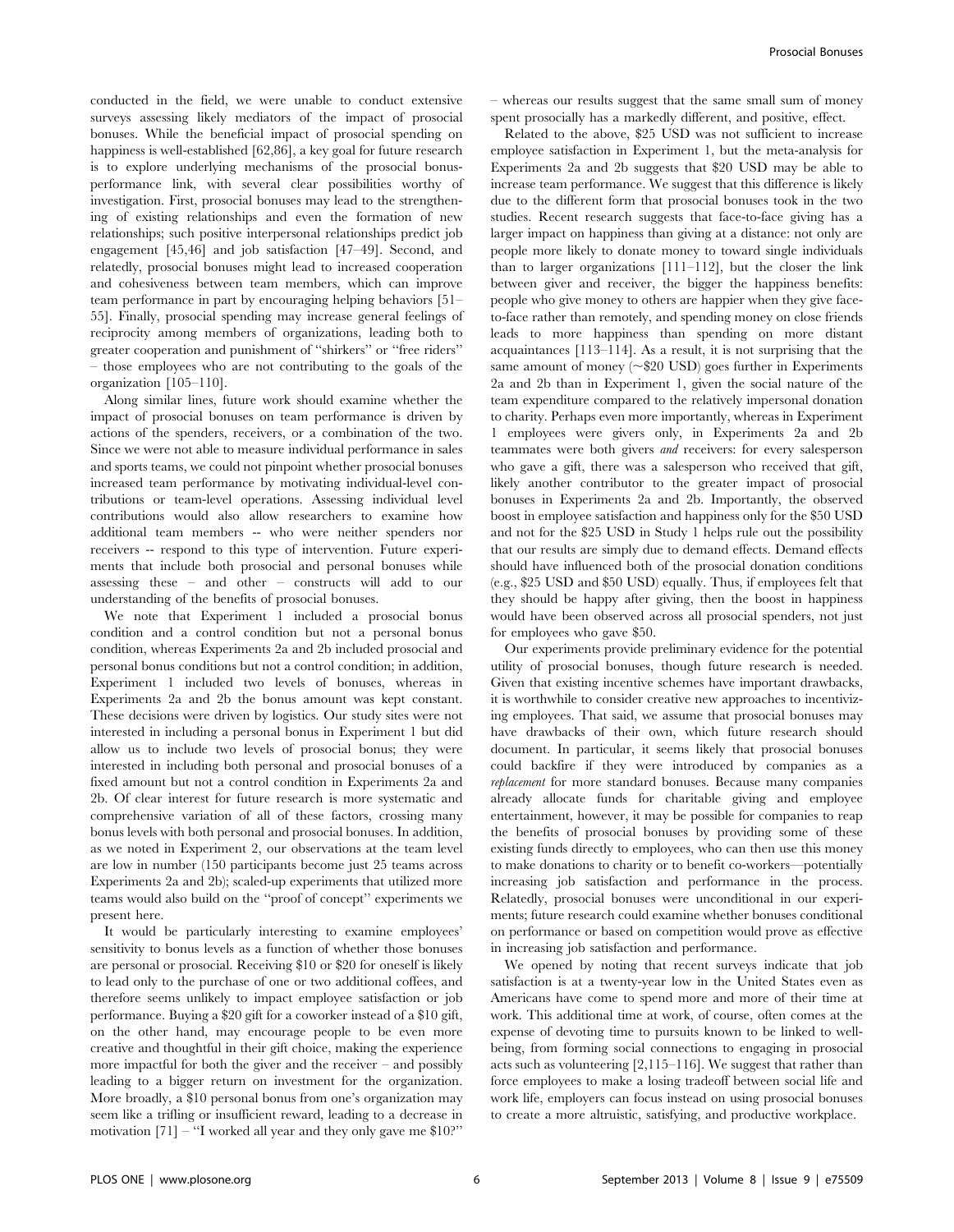conducted in the field, we were unable to conduct extensive surveys assessing likely mediators of the impact of prosocial bonuses. While the beneficial impact of prosocial spending on happiness is well-established [62,86], a key goal for future research is to explore underlying mechanisms of the prosocial bonusperformance link, with several clear possibilities worthy of investigation. First, prosocial bonuses may lead to the strengthening of existing relationships and even the formation of new relationships; such positive interpersonal relationships predict job engagement [45,46] and job satisfaction [47–49]. Second, and relatedly, prosocial bonuses might lead to increased cooperation and cohesiveness between team members, which can improve team performance in part by encouraging helping behaviors [51– 55]. Finally, prosocial spending may increase general feelings of reciprocity among members of organizations, leading both to greater cooperation and punishment of ''shirkers'' or ''free riders'' – those employees who are not contributing to the goals of the organization [105–110].

Along similar lines, future work should examine whether the impact of prosocial bonuses on team performance is driven by actions of the spenders, receivers, or a combination of the two. Since we were not able to measure individual performance in sales and sports teams, we could not pinpoint whether prosocial bonuses increased team performance by motivating individual-level contributions or team-level operations. Assessing individual level contributions would also allow researchers to examine how additional team members -- who were neither spenders nor receivers -- respond to this type of intervention. Future experiments that include both prosocial and personal bonuses while assessing these – and other – constructs will add to our understanding of the benefits of prosocial bonuses.

We note that Experiment 1 included a prosocial bonus condition and a control condition but not a personal bonus condition, whereas Experiments 2a and 2b included prosocial and personal bonus conditions but not a control condition; in addition, Experiment 1 included two levels of bonuses, whereas in Experiments 2a and 2b the bonus amount was kept constant. These decisions were driven by logistics. Our study sites were not interested in including a personal bonus in Experiment 1 but did allow us to include two levels of prosocial bonus; they were interested in including both personal and prosocial bonuses of a fixed amount but not a control condition in Experiments 2a and 2b. Of clear interest for future research is more systematic and comprehensive variation of all of these factors, crossing many bonus levels with both personal and prosocial bonuses. In addition, as we noted in Experiment 2, our observations at the team level are low in number (150 participants become just 25 teams across Experiments 2a and 2b); scaled-up experiments that utilized more teams would also build on the ''proof of concept'' experiments we present here.

It would be particularly interesting to examine employees' sensitivity to bonus levels as a function of whether those bonuses are personal or prosocial. Receiving \$10 or \$20 for oneself is likely to lead only to the purchase of one or two additional coffees, and therefore seems unlikely to impact employee satisfaction or job performance. Buying a \$20 gift for a coworker instead of a \$10 gift, on the other hand, may encourage people to be even more creative and thoughtful in their gift choice, making the experience more impactful for both the giver and the receiver – and possibly leading to a bigger return on investment for the organization. More broadly, a \$10 personal bonus from one's organization may seem like a trifling or insufficient reward, leading to a decrease in motivation [71] – "I worked all year and they only gave me \$10?"

– whereas our results suggest that the same small sum of money spent prosocially has a markedly different, and positive, effect.

Related to the above, \$25 USD was not sufficient to increase employee satisfaction in Experiment 1, but the meta-analysis for Experiments 2a and 2b suggests that \$20 USD may be able to increase team performance. We suggest that this difference is likely due to the different form that prosocial bonuses took in the two studies. Recent research suggests that face-to-face giving has a larger impact on happiness than giving at a distance: not only are people more likely to donate money to toward single individuals than to larger organizations [111–112], but the closer the link between giver and receiver, the bigger the happiness benefits: people who give money to others are happier when they give faceto-face rather than remotely, and spending money on close friends leads to more happiness than spending on more distant acquaintances [113–114]. As a result, it is not surprising that the same amount of money  $(\sim $20 \text{ USD})$  goes further in Experiments 2a and 2b than in Experiment 1, given the social nature of the team expenditure compared to the relatively impersonal donation to charity. Perhaps even more importantly, whereas in Experiment 1 employees were givers only, in Experiments 2a and 2b teammates were both givers and receivers: for every salesperson who gave a gift, there was a salesperson who received that gift, likely another contributor to the greater impact of prosocial bonuses in Experiments 2a and 2b. Importantly, the observed boost in employee satisfaction and happiness only for the \$50 USD and not for the \$25 USD in Study 1 helps rule out the possibility that our results are simply due to demand effects. Demand effects should have influenced both of the prosocial donation conditions (e.g., \$25 USD and \$50 USD) equally. Thus, if employees felt that they should be happy after giving, then the boost in happiness would have been observed across all prosocial spenders, not just for employees who gave \$50.

Our experiments provide preliminary evidence for the potential utility of prosocial bonuses, though future research is needed. Given that existing incentive schemes have important drawbacks, it is worthwhile to consider creative new approaches to incentivizing employees. That said, we assume that prosocial bonuses may have drawbacks of their own, which future research should document. In particular, it seems likely that prosocial bonuses could backfire if they were introduced by companies as a replacement for more standard bonuses. Because many companies already allocate funds for charitable giving and employee entertainment, however, it may be possible for companies to reap the benefits of prosocial bonuses by providing some of these existing funds directly to employees, who can then use this money to make donations to charity or to benefit co-workers—potentially increasing job satisfaction and performance in the process. Relatedly, prosocial bonuses were unconditional in our experiments; future research could examine whether bonuses conditional on performance or based on competition would prove as effective in increasing job satisfaction and performance.

We opened by noting that recent surveys indicate that job satisfaction is at a twenty-year low in the United States even as Americans have come to spend more and more of their time at work. This additional time at work, of course, often comes at the expense of devoting time to pursuits known to be linked to wellbeing, from forming social connections to engaging in prosocial acts such as volunteering [2,115–116]. We suggest that rather than force employees to make a losing tradeoff between social life and work life, employers can focus instead on using prosocial bonuses to create a more altruistic, satisfying, and productive workplace.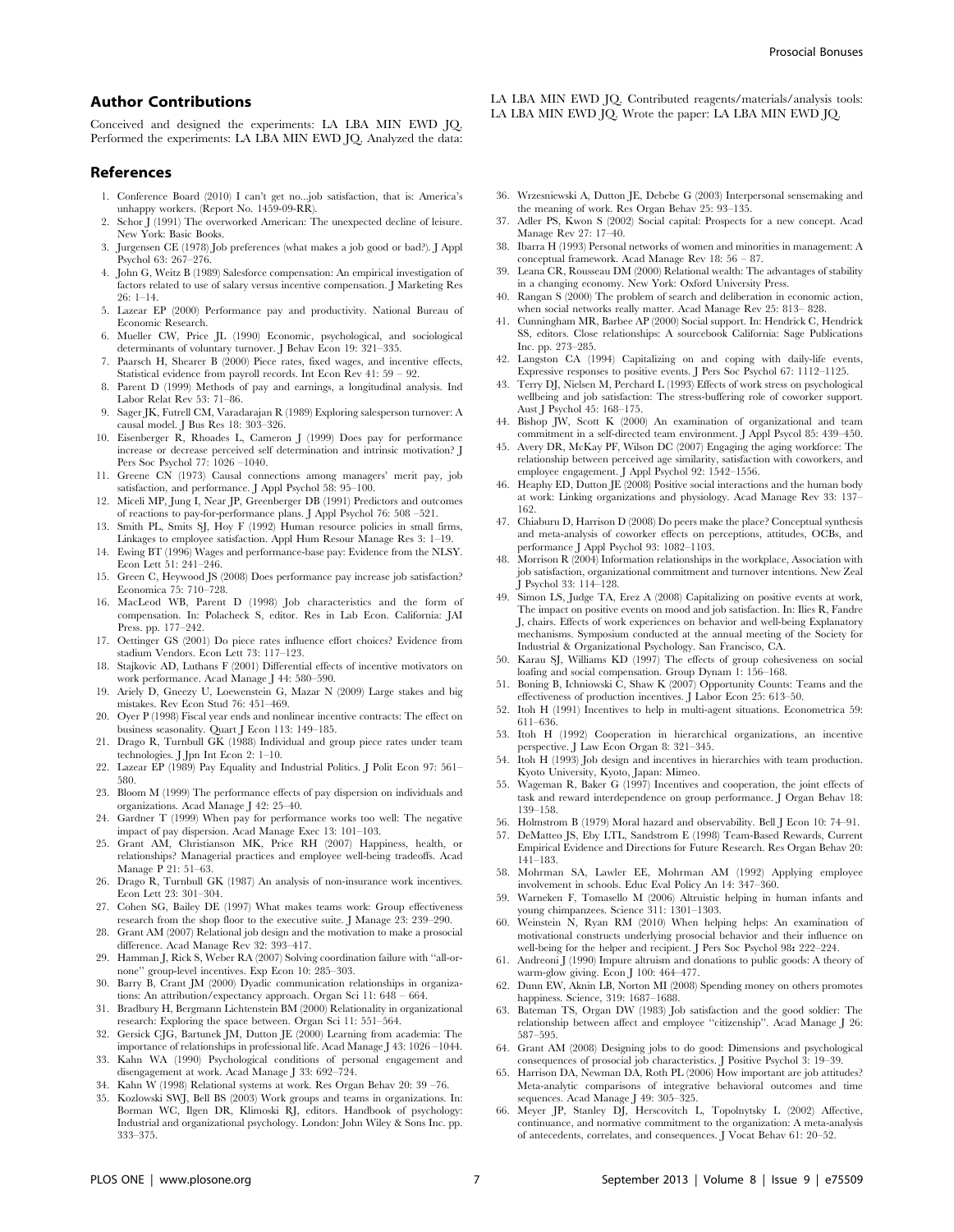## Author Contributions

Conceived and designed the experiments: LA LBA MIN EWD JQ. Performed the experiments: LA LBA MIN EWD JQ. Analyzed the data:

#### References

- 1. Conference Board (2010) I can't get no...job satisfaction, that is: America's unhappy workers. (Report No. 1459-09-RR).
- 2. Schor J (1991) The overworked American: The unexpected decline of leisure. New York: Basic Books.
- 3. Jurgensen CE (1978) Job preferences (what makes a job good or bad?). J Appl Psychol 63: 267–276.
- 4. John G, Weitz B (1989) Salesforce compensation: An empirical investigation of factors related to use of salary versus incentive compensation. J Marketing Res  $26 \cdot 1 - 14$
- 5. Lazear EP (2000) Performance pay and productivity. National Bureau of Economic Research.
- 6. Mueller CW, Price JL (1990) Economic, psychological, and sociological determinants of voluntary turnover. J Behav Econ 19: 321–335.
- 7. Paarsch H, Shearer B (2000) Piece rates, fixed wages, and incentive effects, Statistical evidence from payroll records. Int Econ Rev 41: 59 – 92.
- 8. Parent D (1999) Methods of pay and earnings, a longitudinal analysis. Ind Labor Relat Rev 53: 71–86.
- 9. Sager JK, Futrell CM, Varadarajan R (1989) Exploring salesperson turnover: A causal model. J Bus Res 18: 303–326.
- 10. Eisenberger R, Rhoades L, Cameron J (1999) Does pay for performance increase or decrease perceived self determination and intrinsic motivation? J Pers Soc Psychol 77: 1026 –1040.
- 11. Greene CN (1973) Causal connections among managers' merit pay, job satisfaction, and performance. J Appl Psychol 58: 95–100.
- 12. Miceli MP, Jung I, Near JP, Greenberger DB (1991) Predictors and outcomes of reactions to pay-for-performance plans. J Appl Psychol 76: 508 –521.
- 13. Smith PL, Smits SJ, Hoy F (1992) Human resource policies in small firms, Linkages to employee satisfaction. Appl Hum Resour Manage Res 3: 1–19.
- 14. Ewing BT (1996) Wages and performance-base pay: Evidence from the NLSY. Econ Lett 51: 241–246.
- 15. Green C, Heywood JS (2008) Does performance pay increase job satisfaction? Economica 75: 710–728.
- 16. MacLeod WB, Parent D (1998) Job characteristics and the form of compensation. In: Polacheck S, editor. Res in Lab Econ. California: JAI Press. pp. 177–242.
- 17. Oettinger GS (2001) Do piece rates influence effort choices? Evidence from stadium Vendors. Econ Lett 73: 117–123.
- 18. Stajkovic AD, Luthans F (2001) Differential effects of incentive motivators on work performance. Acad Manage J 44: 580–590.
- 19. Ariely D, Gneezy U, Loewenstein G, Mazar N (2009) Large stakes and big mistakes. Rev Econ Stud 76: 451–469.
- 20. Oyer P (1998) Fiscal year ends and nonlinear incentive contracts: The effect on business seasonality. Quart J Econ 113: 149–185.
- 21. Drago R, Turnbull GK (1988) Individual and group piece rates under team technologies. J Jpn Int Econ 2: 1–10.
- 22. Lazear EP (1989) Pay Equality and Industrial Politics. J Polit Econ 97: 561– 580.
- 23. Bloom M (1999) The performance effects of pay dispersion on individuals and organizations. Acad Manage J 42: 25–40.
- 24. Gardner T (1999) When pay for performance works too well: The negative impact of pay dispersion. Acad Manage Exec 13: 101–103.
- 25. Grant AM, Christianson MK, Price RH (2007) Happiness, health, or relationships? Managerial practices and employee well-being tradeoffs. Acad Manage P 21: 51–63.
- 26. Drago R, Turnbull GK (1987) An analysis of non-insurance work incentives. Econ Lett 23: 301–304.
- 27. Cohen SG, Bailey DE (1997) What makes teams work: Group effectiveness research from the shop floor to the executive suite. J Manage 23: 239–290.
- 28. Grant AM (2007) Relational job design and the motivation to make a prosocial difference. Acad Manage Rev 32: 393–417.
- 29. Hamman J, Rick S, Weber RA (2007) Solving coordination failure with ''all-ornone'' group-level incentives. Exp Econ 10: 285–303.
- 30. Barry B, Crant JM (2000) Dyadic communication relationships in organizations: An attribution/expectancy approach. Organ Sci 11: 648 – 664.
- 31. Bradbury H, Bergmann Lichtenstein BM (2000) Relationality in organizational research: Exploring the space between. Organ Sci 11: 551–564.
- 32. Gersick CJG, Bartunek JM, Dutton JE (2000) Learning from academia: The importance of relationships in professional life. Acad Manage J 43: 1026 –1044.
- 33. Kahn WA (1990) Psychological conditions of personal engagement and disengagement at work. Acad Manage J 33: 692–724.
- 34. Kahn W (1998) Relational systems at work. Res Organ Behav 20: 39 –76.
- 35. Kozlowski SWJ, Bell BS (2003) Work groups and teams in organizations. In: Borman WC, Ilgen DR, Klimoski RJ, editors. Handbook of psychology: Industrial and organizational psychology. London: John Wiley & Sons Inc. pp. 333–375.

LA LBA MIN EWD IO. Contributed reagents/materials/analysis tools: LA LBA MIN EWD JQ. Wrote the paper: LA LBA MIN EWD JQ.

- 36. Wrzesniewski A, Dutton JE, Debebe G (2003) Interpersonal sensemaking and the meaning of work. Res Organ Behav 25: 93–135.
- Adler PS, Kwon S (2002) Social capital: Prospects for a new concept. Acad Manage Rev 27: 17–40.
- 38. Ibarra H (1993) Personal networks of women and minorities in management: A conceptual framework. Acad Manage Rev 18: 56 – 87.
- 39. Leana CR, Rousseau DM (2000) Relational wealth: The advantages of stability in a changing economy. New York: Oxford University Press.
- 40. Rangan S (2000) The problem of search and deliberation in economic action, when social networks really matter. Acad Manage Rev 25: 813– 828.
- 41. Cunningham MR, Barbee AP (2000) Social support. In: Hendrick C, Hendrick SS, editors. Close relationships: A sourcebook California: Sage Publications Inc. pp. 273–285.
- 42. Langston CA (1994) Capitalizing on and coping with daily-life events, Expressive responses to positive events. J Pers Soc Psychol 67: 1112–1125.
- 43. Terry DJ, Nielsen M, Perchard L (1993) Effects of work stress on psychological wellbeing and job satisfaction: The stress-buffering role of coworker support. Aust J Psychol 45: 168–175.
- 44. Bishop JW, Scott K (2000) An examination of organizational and team commitment in a self-directed team environment. J Appl Psycol 85: 439–450.
- 45. Avery DR, McKay PF, Wilson DC (2007) Engaging the aging workforce: The relationship between perceived age similarity, satisfaction with coworkers, and employee engagement. J Appl Psychol 92: 1542–1556.
- 46. Heaphy ED, Dutton JE (2008) Positive social interactions and the human body at work: Linking organizations and physiology. Acad Manage Rev 33: 137– 162.
- 47. Chiaburu D, Harrison D (2008) Do peers make the place? Conceptual synthesis and meta-analysis of coworker effects on perceptions, attitudes, OCBs, and performance J Appl Psychol 93: 1082–1103.
- 48. Morrison R (2004) Information relationships in the workplace, Association with job satisfaction, organizational commitment and turnover intentions. New Zeal J Psychol 33: 114–128.
- 49. Simon LS, Judge TA, Erez A (2008) Capitalizing on positive events at work, The impact on positive events on mood and job satisfaction. In: Ilies R, Fandre J, chairs. Effects of work experiences on behavior and well-being Explanatory mechanisms. Symposium conducted at the annual meeting of the Society for Industrial & Organizational Psychology. San Francisco, CA.
- 50. Karau SJ, Williams KD (1997) The effects of group cohesiveness on social loafing and social compensation. Group Dynam 1: 156–168.
- 51. Boning B, Ichniowski C, Shaw K (2007) Opportunity Counts: Teams and the effectiveness of production incentives. J Labor Econ 25: 613–50.
- 52. Itoh H (1991) Incentives to help in multi-agent situations. Econometrica 59: 611–636.
- 53. Itoh H (1992) Cooperation in hierarchical organizations, an incentive perspective. J Law Econ Organ 8: 321–345.
- 54. Itoh H (1993) Job design and incentives in hierarchies with team production. Kyoto University, Kyoto, Japan: Mimeo.
- 55. Wageman R, Baker G (1997) Incentives and cooperation, the joint effects of task and reward interdependence on group performance. J Organ Behav 18: 139–158.
- 56. Holmstrom B (1979) Moral hazard and observability. Bell J Econ 10: 74–91.
- 57. DeMatteo JS, Eby LTL, Sandstrom E (1998) Team-Based Rewards, Current Empirical Evidence and Directions for Future Research. Res Organ Behav 20: 141–183.
- 58. Mohrman SA, Lawler EE, Mohrman AM (1992) Applying employee involvement in schools. Educ Eval Policy An 14: 347–360.
- 59. Warneken F, Tomasello M (2006) Altruistic helping in human infants and young chimpanzees. Science 311: 1301–1303.
- 60. Weinstein N, Ryan RM (2010) When helping helps: An examination of motivational constructs underlying prosocial behavior and their influence on well-being for the helper and recipient. J Pers Soc Psychol 98: 222–224.
- 61. Andreoni J (1990) Impure altruism and donations to public goods: A theory of warm-glow giving. Econ J 100: 464–477.
- 62. Dunn EW, Aknin LB, Norton MI (2008) Spending money on others promotes happiness. Science, 319: 1687–1688.
- 63. Bateman TS, Organ DW (1983) Job satisfaction and the good soldier: The relationship between affect and employee ''citizenship''. Acad Manage J 26: 587–595.
- 64. Grant AM (2008) Designing jobs to do good: Dimensions and psychological consequences of prosocial job characteristics. J Positive Psychol 3: 19–39.
- 65. Harrison DA, Newman DA, Roth PL (2006) How important are job attitudes? Meta-analytic comparisons of integrative behavioral outcomes and time sequences. Acad Manage J 49: 305–325.
- 66. Meyer JP, Stanley DJ, Herscovitch L, Topolnytsky L (2002) Affective, continuance, and normative commitment to the organization: A meta-analysis of antecedents, correlates, and consequences. J Vocat Behav 61: 20–52.